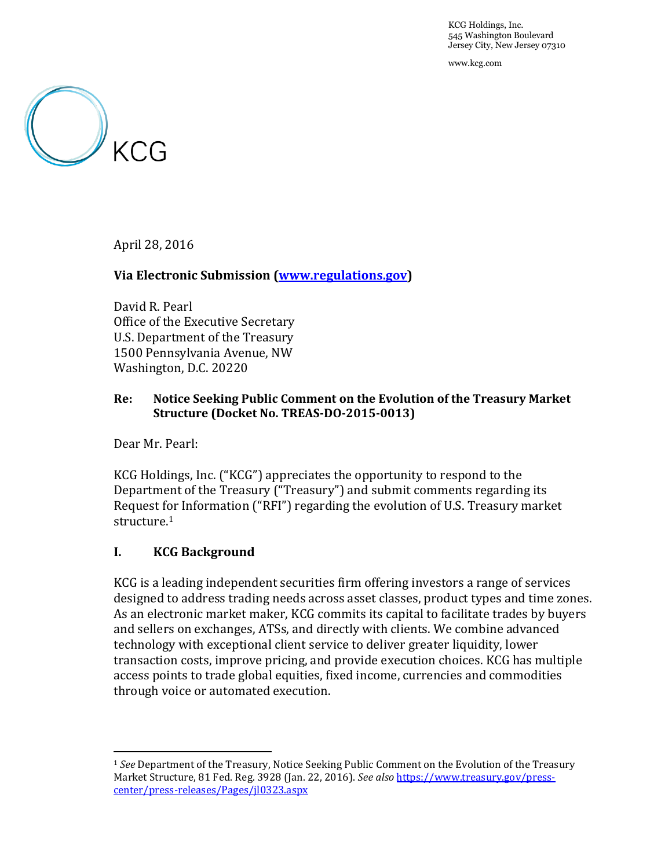KCG Holdings, Inc. 545 Washington Boulevard Jersey City, New Jersey 07310

www.kcg.com



April 28, 2016

### **Via Electronic Submission [\(www.regulations.gov\)](http://www.regulations.gov/)**

David R. Pearl Office of the Executive Secretary U.S. Department of the Treasury 1500 Pennsylvania Avenue, NW Washington, D.C. 20220

## **Re: Notice Seeking Public Comment on the Evolution of the Treasury Market Structure (Docket No. TREAS-DO-2015-0013)**

Dear Mr. Pearl:

 $\overline{a}$ 

KCG Holdings, Inc. ("KCG") appreciates the opportunity to respond to the Department of the Treasury ("Treasury") and submit comments regarding its Request for Information ("RFI") regarding the evolution of U.S. Treasury market structure. 1

### **I. KCG Background**

KCG is a leading independent securities firm offering investors a range of services designed to address trading needs across asset classes, product types and time zones. As an electronic market maker, KCG commits its capital to facilitate trades by buyers and sellers on exchanges, ATSs, and directly with clients. We combine advanced technology with exceptional client service to deliver greater liquidity, lower transaction costs, improve pricing, and provide execution choices. KCG has multiple access points to trade global equities, fixed income, currencies and commodities through voice or automated execution.

<sup>1</sup> *See* Department of the Treasury, Notice Seeking Public Comment on the Evolution of the Treasury Market Structure, 81 Fed. Reg. 3928 (Jan. 22, 2016). *See also* [https://www.treasury.gov/press](https://www.treasury.gov/press-center/press-releases/Pages/jl0323.aspx)[center/press-releases/Pages/jl0323.aspx](https://www.treasury.gov/press-center/press-releases/Pages/jl0323.aspx)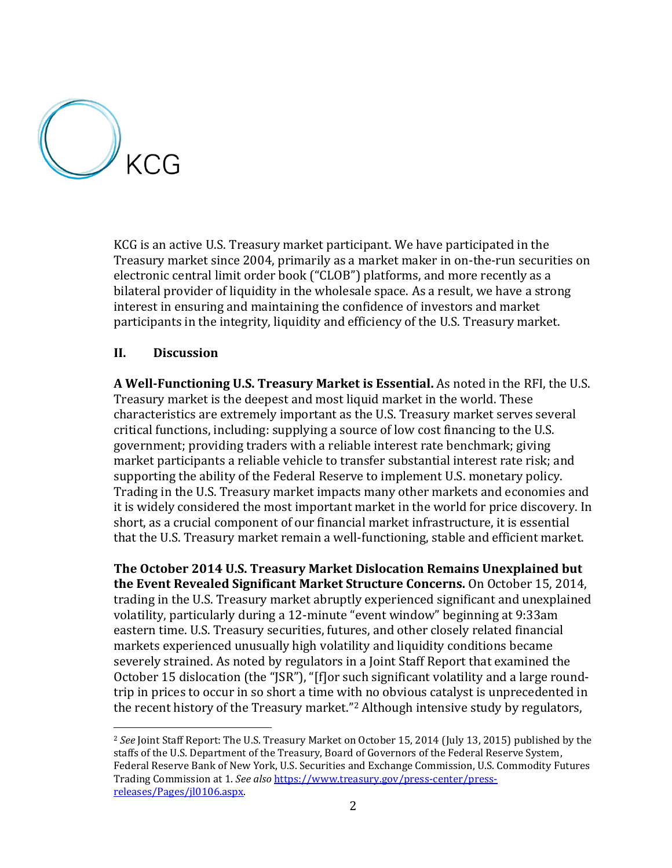

l

KCG is an active U.S. Treasury market participant. We have participated in the Treasury market since 2004, primarily as a market maker in on-the-run securities on electronic central limit order book ("CLOB") platforms, and more recently as a bilateral provider of liquidity in the wholesale space. As a result, we have a strong interest in ensuring and maintaining the confidence of investors and market participants in the integrity, liquidity and efficiency of the U.S. Treasury market.

# **II. Discussion**

**A Well-Functioning U.S. Treasury Market is Essential.** As noted in the RFI, the U.S. Treasury market is the deepest and most liquid market in the world. These characteristics are extremely important as the U.S. Treasury market serves several critical functions, including: supplying a source of low cost financing to the U.S. government; providing traders with a reliable interest rate benchmark; giving market participants a reliable vehicle to transfer substantial interest rate risk; and supporting the ability of the Federal Reserve to implement U.S. monetary policy. Trading in the U.S. Treasury market impacts many other markets and economies and it is widely considered the most important market in the world for price discovery. In short, as a crucial component of our financial market infrastructure, it is essential that the U.S. Treasury market remain a well-functioning, stable and efficient market.

**The October 2014 U.S. Treasury Market Dislocation Remains Unexplained but the Event Revealed Significant Market Structure Concerns.** On October 15, 2014, trading in the U.S. Treasury market abruptly experienced significant and unexplained volatility, particularly during a 12-minute "event window" beginning at 9:33am eastern time. U.S. Treasury securities, futures, and other closely related financial markets experienced unusually high volatility and liquidity conditions became severely strained. As noted by regulators in a Joint Staff Report that examined the October 15 dislocation (the "JSR"), "[f]or such significant volatility and a large roundtrip in prices to occur in so short a time with no obvious catalyst is unprecedented in the recent history of the Treasury market."<sup>2</sup> Although intensive study by regulators,

<sup>2</sup> *See* Joint Staff Report: The U.S. Treasury Market on October 15, 2014 (July 13, 2015) published by the staffs of the U.S. Department of the Treasury, Board of Governors of the Federal Reserve System, Federal Reserve Bank of New York, U.S. Securities and Exchange Commission, U.S. Commodity Futures Trading Commission at 1. *See also* [https://www.treasury.gov/press-center/press](https://www.treasury.gov/press-center/press-releases/Pages/jl0106.aspx)[releases/Pages/jl0106.aspx.](https://www.treasury.gov/press-center/press-releases/Pages/jl0106.aspx)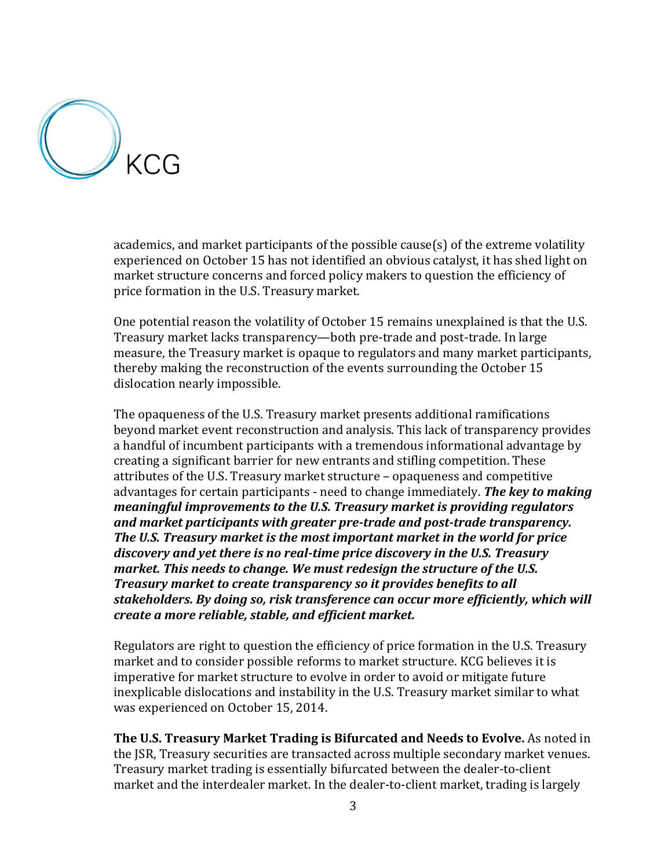

academics, and market participants of the possible cause(s) of the extreme volatility experienced on October 15 has not identified an obvious catalyst, it has shed light on market structure concerns and forced policy makers to question the efficiency of price formation in the U.S. Treasury market.

One potential reason the volatility of October 15 remains unexplained is that the U.S. Treasury market lacks transparency—both pre-trade and post-trade. In large measure, the Treasury market is opaque to regulators and many market participants, thereby making the reconstruction of the events surrounding the October 15 dislocation nearly impossible.

The opaqueness of the U.S. Treasury market presents additional ramifications beyond market event reconstruction and analysis. This lack of transparency provides a handful of incumbent participants with a tremendous informational advantage by creating a significant barrier for new entrants and stifling competition. These attributes of the U.S. Treasury market structure – opaqueness and competitive advantages for certain participants - need to change immediately. *The key to making meaningful improvements to the U.S. Treasury market is providing regulators and market participants with greater pre-trade and post-trade transparency. The U.S. Treasury market is the most important market in the world for price discovery and yet there is no real-time price discovery in the U.S. Treasury market. This needs to change. We must redesign the structure of the U.S. Treasury market to create transparency so it provides benefits to all stakeholders. By doing so, risk transference can occur more efficiently, which will create a more reliable, stable, and efficient market.* 

Regulators are right to question the efficiency of price formation in the U.S. Treasury market and to consider possible reforms to market structure. KCG believes it is imperative for market structure to evolve in order to avoid or mitigate future inexplicable dislocations and instability in the U.S. Treasury market similar to what was experienced on October 15, 2014.

**The U.S. Treasury Market Trading is Bifurcated and Needs to Evolve.** As noted in the JSR, Treasury securities are transacted across multiple secondary market venues. Treasury market trading is essentially bifurcated between the dealer-to-client market and the interdealer market. In the dealer-to-client market, trading is largely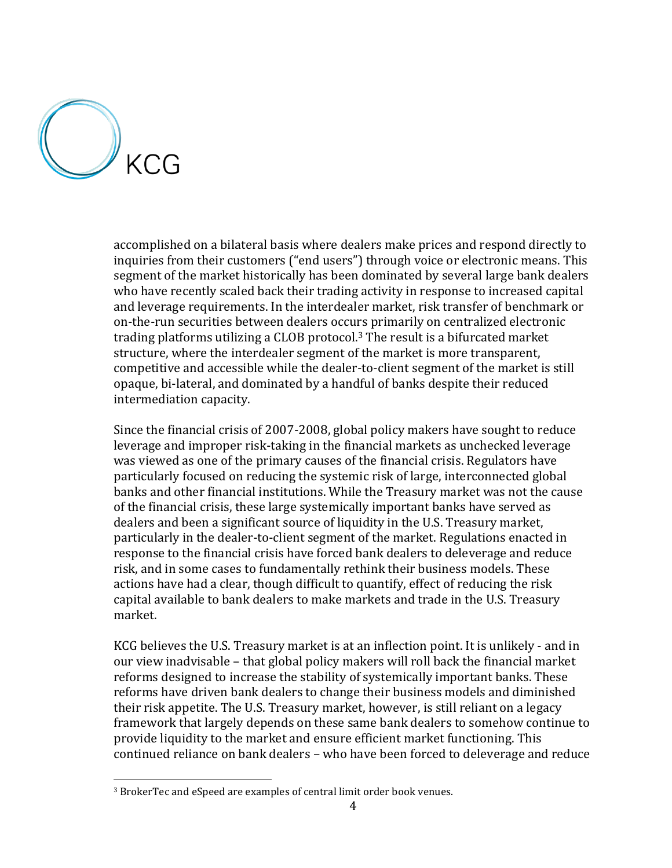

 $\overline{a}$ 

accomplished on a bilateral basis where dealers make prices and respond directly to inquiries from their customers ("end users") through voice or electronic means. This segment of the market historically has been dominated by several large bank dealers who have recently scaled back their trading activity in response to increased capital and leverage requirements. In the interdealer market, risk transfer of benchmark or on-the-run securities between dealers occurs primarily on centralized electronic trading platforms utilizing a CLOB protocol. <sup>3</sup> The result is a bifurcated market structure, where the interdealer segment of the market is more transparent, competitive and accessible while the dealer-to-client segment of the market is still opaque, bi-lateral, and dominated by a handful of banks despite their reduced intermediation capacity.

Since the financial crisis of 2007-2008, global policy makers have sought to reduce leverage and improper risk-taking in the financial markets as unchecked leverage was viewed as one of the primary causes of the financial crisis. Regulators have particularly focused on reducing the systemic risk of large, interconnected global banks and other financial institutions. While the Treasury market was not the cause of the financial crisis, these large systemically important banks have served as dealers and been a significant source of liquidity in the U.S. Treasury market, particularly in the dealer-to-client segment of the market. Regulations enacted in response to the financial crisis have forced bank dealers to deleverage and reduce risk, and in some cases to fundamentally rethink their business models. These actions have had a clear, though difficult to quantify, effect of reducing the risk capital available to bank dealers to make markets and trade in the U.S. Treasury market.

KCG believes the U.S. Treasury market is at an inflection point. It is unlikely - and in our view inadvisable – that global policy makers will roll back the financial market reforms designed to increase the stability of systemically important banks. These reforms have driven bank dealers to change their business models and diminished their risk appetite. The U.S. Treasury market, however, is still reliant on a legacy framework that largely depends on these same bank dealers to somehow continue to provide liquidity to the market and ensure efficient market functioning. This continued reliance on bank dealers – who have been forced to deleverage and reduce

<sup>3</sup> BrokerTec and eSpeed are examples of central limit order book venues.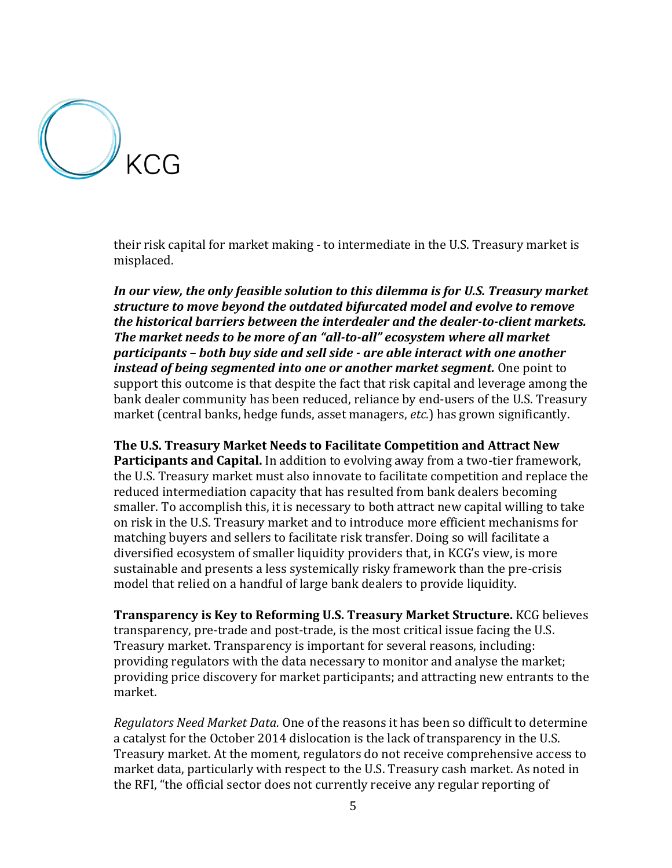

their risk capital for market making - to intermediate in the U.S. Treasury market is misplaced.

*In our view, the only feasible solution to this dilemma is for U.S. Treasury market structure to move beyond the outdated bifurcated model and evolve to remove the historical barriers between the interdealer and the dealer-to-client markets. The market needs to be more of an "all-to-all" ecosystem where all market participants – both buy side and sell side - are able interact with one another instead of being segmented into one or another market segment.* One point to support this outcome is that despite the fact that risk capital and leverage among the bank dealer community has been reduced, reliance by end-users of the U.S. Treasury market (central banks, hedge funds, asset managers, *etc.*) has grown significantly.

**The U.S. Treasury Market Needs to Facilitate Competition and Attract New Participants and Capital.** In addition to evolving away from a two-tier framework, the U.S. Treasury market must also innovate to facilitate competition and replace the reduced intermediation capacity that has resulted from bank dealers becoming smaller. To accomplish this, it is necessary to both attract new capital willing to take on risk in the U.S. Treasury market and to introduce more efficient mechanisms for matching buyers and sellers to facilitate risk transfer. Doing so will facilitate a diversified ecosystem of smaller liquidity providers that, in KCG's view, is more sustainable and presents a less systemically risky framework than the pre-crisis model that relied on a handful of large bank dealers to provide liquidity.

**Transparency is Key to Reforming U.S. Treasury Market Structure.** KCG believes transparency, pre-trade and post-trade, is the most critical issue facing the U.S. Treasury market. Transparency is important for several reasons, including: providing regulators with the data necessary to monitor and analyse the market; providing price discovery for market participants; and attracting new entrants to the market.

*Regulators Need Market Data.* One of the reasons it has been so difficult to determine a catalyst for the October 2014 dislocation is the lack of transparency in the U.S. Treasury market. At the moment, regulators do not receive comprehensive access to market data, particularly with respect to the U.S. Treasury cash market. As noted in the RFI, "the official sector does not currently receive any regular reporting of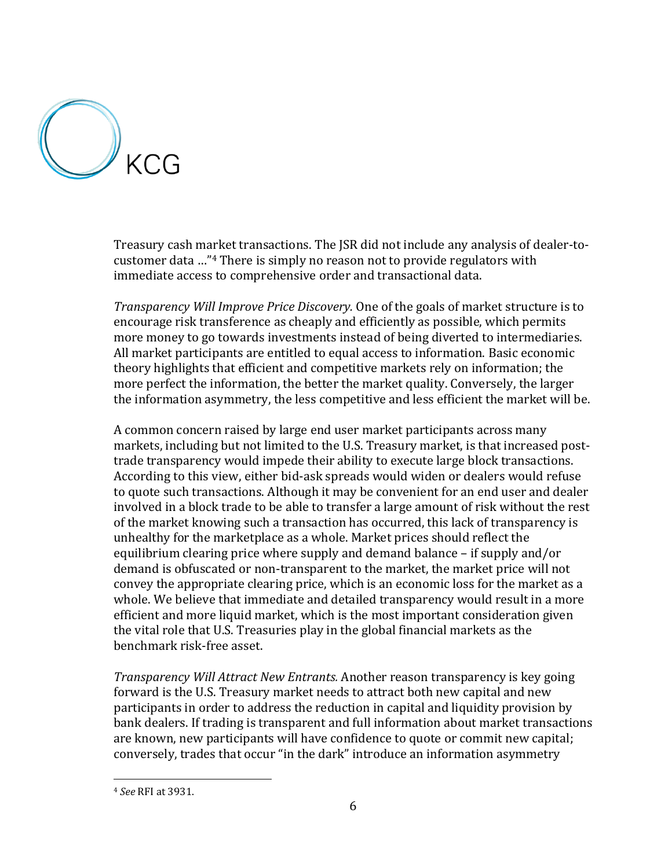

Treasury cash market transactions. The JSR did not include any analysis of dealer-tocustomer data …"<sup>4</sup> There is simply no reason not to provide regulators with immediate access to comprehensive order and transactional data.

*Transparency Will Improve Price Discovery.* One of the goals of market structure is to encourage risk transference as cheaply and efficiently as possible, which permits more money to go towards investments instead of being diverted to intermediaries. All market participants are entitled to equal access to information. Basic economic theory highlights that efficient and competitive markets rely on information; the more perfect the information, the better the market quality. Conversely, the larger the information asymmetry, the less competitive and less efficient the market will be.

A common concern raised by large end user market participants across many markets, including but not limited to the U.S. Treasury market, is that increased posttrade transparency would impede their ability to execute large block transactions. According to this view, either bid-ask spreads would widen or dealers would refuse to quote such transactions. Although it may be convenient for an end user and dealer involved in a block trade to be able to transfer a large amount of risk without the rest of the market knowing such a transaction has occurred, this lack of transparency is unhealthy for the marketplace as a whole. Market prices should reflect the equilibrium clearing price where supply and demand balance – if supply and/or demand is obfuscated or non-transparent to the market, the market price will not convey the appropriate clearing price, which is an economic loss for the market as a whole. We believe that immediate and detailed transparency would result in a more efficient and more liquid market, which is the most important consideration given the vital role that U.S. Treasuries play in the global financial markets as the benchmark risk-free asset.

*Transparency Will Attract New Entrants.* Another reason transparency is key going forward is the U.S. Treasury market needs to attract both new capital and new participants in order to address the reduction in capital and liquidity provision by bank dealers. If trading is transparent and full information about market transactions are known, new participants will have confidence to quote or commit new capital; conversely, trades that occur "in the dark" introduce an information asymmetry

 $\overline{a}$ 

<sup>4</sup> *See* RFI at 3931.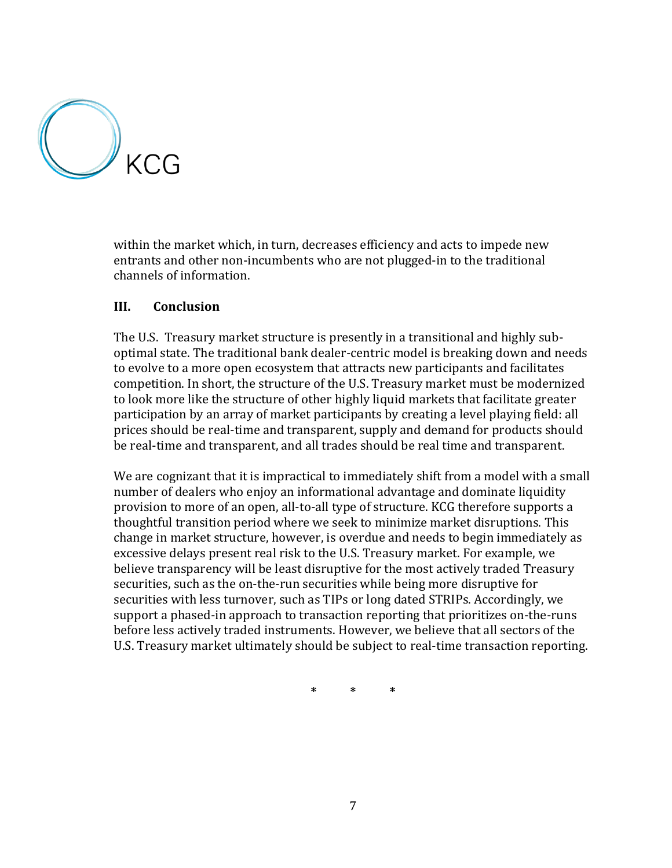

within the market which, in turn, decreases efficiency and acts to impede new entrants and other non-incumbents who are not plugged-in to the traditional channels of information.

# **III. Conclusion**

The U.S. Treasury market structure is presently in a transitional and highly suboptimal state. The traditional bank dealer-centric model is breaking down and needs to evolve to a more open ecosystem that attracts new participants and facilitates competition. In short, the structure of the U.S. Treasury market must be modernized to look more like the structure of other highly liquid markets that facilitate greater participation by an array of market participants by creating a level playing field: all prices should be real-time and transparent, supply and demand for products should be real-time and transparent, and all trades should be real time and transparent.

We are cognizant that it is impractical to immediately shift from a model with a small number of dealers who enjoy an informational advantage and dominate liquidity provision to more of an open, all-to-all type of structure. KCG therefore supports a thoughtful transition period where we seek to minimize market disruptions. This change in market structure, however, is overdue and needs to begin immediately as excessive delays present real risk to the U.S. Treasury market. For example, we believe transparency will be least disruptive for the most actively traded Treasury securities, such as the on-the-run securities while being more disruptive for securities with less turnover, such as TIPs or long dated STRIPs. Accordingly, we support a phased-in approach to transaction reporting that prioritizes on-the-runs before less actively traded instruments. However, we believe that all sectors of the U.S. Treasury market ultimately should be subject to real-time transaction reporting.

**\* \* \***